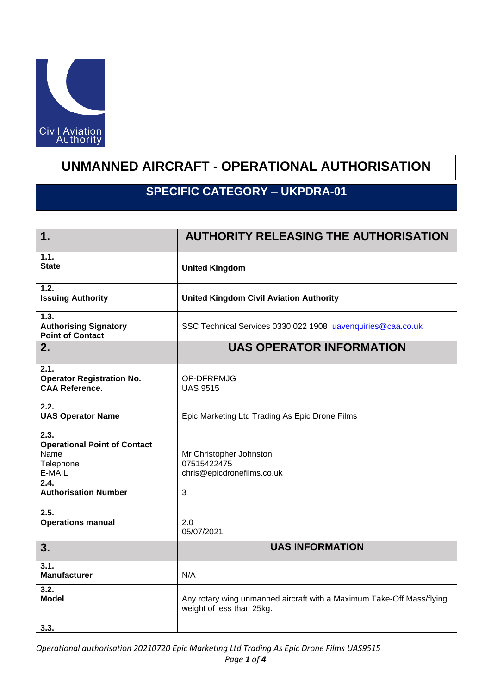

## **UNMANNED AIRCRAFT - OPERATIONAL AUTHORISATION**

## **SPECIFIC CATEGORY – UKPDRA-01**

| 1.                                                                         | <b>AUTHORITY RELEASING THE AUTHORISATION</b>                                                       |
|----------------------------------------------------------------------------|----------------------------------------------------------------------------------------------------|
| 1.1.<br><b>State</b>                                                       | <b>United Kingdom</b>                                                                              |
| 1.2.<br><b>Issuing Authority</b>                                           | <b>United Kingdom Civil Aviation Authority</b>                                                     |
| 1.3.<br><b>Authorising Signatory</b><br><b>Point of Contact</b>            | SSC Technical Services 0330 022 1908 uavenquiries@caa.co.uk                                        |
| 2.                                                                         | <b>UAS OPERATOR INFORMATION</b>                                                                    |
| 2.1.<br><b>Operator Registration No.</b><br><b>CAA Reference.</b>          | OP-DFRPMJG<br><b>UAS 9515</b>                                                                      |
| 2.2.<br><b>UAS Operator Name</b>                                           | Epic Marketing Ltd Trading As Epic Drone Films                                                     |
| 2.3.<br><b>Operational Point of Contact</b><br>Name<br>Telephone<br>E-MAIL | Mr Christopher Johnston<br>07515422475<br>chris@epicdronefilms.co.uk                               |
| 2.4.<br><b>Authorisation Number</b>                                        | 3                                                                                                  |
| 2.5.<br><b>Operations manual</b>                                           | 2.0<br>05/07/2021                                                                                  |
| 3.                                                                         | <b>UAS INFORMATION</b>                                                                             |
| 3.1.<br><b>Manufacturer</b>                                                | N/A                                                                                                |
| $\overline{3.2}$<br><b>Model</b>                                           | Any rotary wing unmanned aircraft with a Maximum Take-Off Mass/flying<br>weight of less than 25kg. |
| 3.3.                                                                       |                                                                                                    |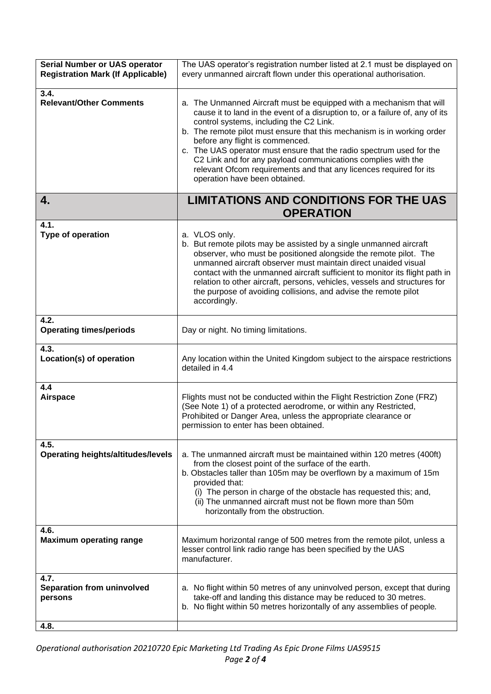| <b>Serial Number or UAS operator</b><br><b>Registration Mark (If Applicable)</b> | The UAS operator's registration number listed at 2.1 must be displayed on<br>every unmanned aircraft flown under this operational authorisation.                                                                                                                                                                                                                                                                                                                                                                                                              |
|----------------------------------------------------------------------------------|---------------------------------------------------------------------------------------------------------------------------------------------------------------------------------------------------------------------------------------------------------------------------------------------------------------------------------------------------------------------------------------------------------------------------------------------------------------------------------------------------------------------------------------------------------------|
| 3.4.<br><b>Relevant/Other Comments</b>                                           | a. The Unmanned Aircraft must be equipped with a mechanism that will<br>cause it to land in the event of a disruption to, or a failure of, any of its<br>control systems, including the C2 Link.<br>b. The remote pilot must ensure that this mechanism is in working order<br>before any flight is commenced.<br>c. The UAS operator must ensure that the radio spectrum used for the<br>C2 Link and for any payload communications complies with the<br>relevant Ofcom requirements and that any licences required for its<br>operation have been obtained. |
| 4.                                                                               | <b>LIMITATIONS AND CONDITIONS FOR THE UAS</b>                                                                                                                                                                                                                                                                                                                                                                                                                                                                                                                 |
|                                                                                  | <b>OPERATION</b>                                                                                                                                                                                                                                                                                                                                                                                                                                                                                                                                              |
| 4.1.<br>Type of operation                                                        | a. VLOS only.<br>b. But remote pilots may be assisted by a single unmanned aircraft<br>observer, who must be positioned alongside the remote pilot. The<br>unmanned aircraft observer must maintain direct unaided visual<br>contact with the unmanned aircraft sufficient to monitor its flight path in<br>relation to other aircraft, persons, vehicles, vessels and structures for<br>the purpose of avoiding collisions, and advise the remote pilot<br>accordingly.                                                                                      |
| 4.2.<br><b>Operating times/periods</b>                                           | Day or night. No timing limitations.                                                                                                                                                                                                                                                                                                                                                                                                                                                                                                                          |
| 4.3.<br>Location(s) of operation                                                 | Any location within the United Kingdom subject to the airspace restrictions<br>detailed in 4.4                                                                                                                                                                                                                                                                                                                                                                                                                                                                |
| 4.4<br><b>Airspace</b>                                                           | Flights must not be conducted within the Flight Restriction Zone (FRZ)<br>(See Note 1) of a protected aerodrome, or within any Restricted,<br>Prohibited or Danger Area, unless the appropriate clearance or<br>permission to enter has been obtained.                                                                                                                                                                                                                                                                                                        |
| 4.5.<br><b>Operating heights/altitudes/levels</b>                                | a. The unmanned aircraft must be maintained within 120 metres (400ft)<br>from the closest point of the surface of the earth.<br>b. Obstacles taller than 105m may be overflown by a maximum of 15m<br>provided that:<br>(i) The person in charge of the obstacle has requested this; and,<br>(ii) The unmanned aircraft must not be flown more than 50m<br>horizontally from the obstruction.                                                                                                                                                                 |
| 4.6.<br><b>Maximum operating range</b>                                           | Maximum horizontal range of 500 metres from the remote pilot, unless a<br>lesser control link radio range has been specified by the UAS<br>manufacturer.                                                                                                                                                                                                                                                                                                                                                                                                      |
| 4.7.<br><b>Separation from uninvolved</b><br>persons                             | a. No flight within 50 metres of any uninvolved person, except that during<br>take-off and landing this distance may be reduced to 30 metres.<br>b. No flight within 50 metres horizontally of any assemblies of people.                                                                                                                                                                                                                                                                                                                                      |
| 4.8.                                                                             |                                                                                                                                                                                                                                                                                                                                                                                                                                                                                                                                                               |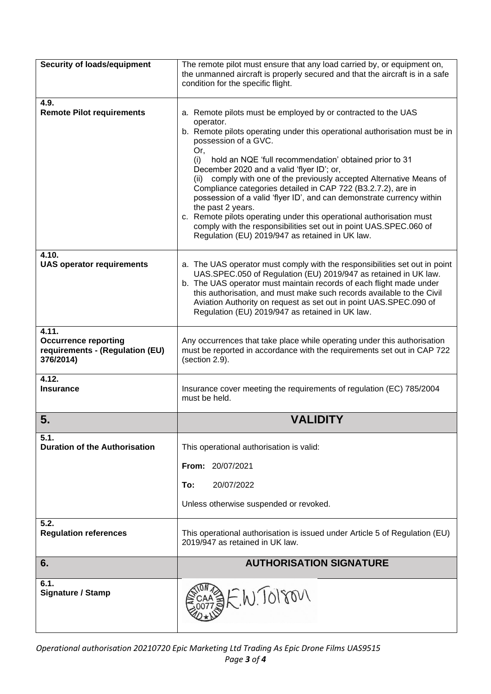| <b>Security of loads/equipment</b>                                                   | The remote pilot must ensure that any load carried by, or equipment on,<br>the unmanned aircraft is properly secured and that the aircraft is in a safe<br>condition for the specific flight.                                                                                                                                                                                                                                                                                                                                                                                                                                                                                                                                               |
|--------------------------------------------------------------------------------------|---------------------------------------------------------------------------------------------------------------------------------------------------------------------------------------------------------------------------------------------------------------------------------------------------------------------------------------------------------------------------------------------------------------------------------------------------------------------------------------------------------------------------------------------------------------------------------------------------------------------------------------------------------------------------------------------------------------------------------------------|
| 4.9.<br><b>Remote Pilot requirements</b>                                             | a. Remote pilots must be employed by or contracted to the UAS<br>operator.<br>b. Remote pilots operating under this operational authorisation must be in<br>possession of a GVC.<br>Or,<br>(i)<br>hold an NQE 'full recommendation' obtained prior to 31<br>December 2020 and a valid 'flyer ID'; or,<br>(ii) comply with one of the previously accepted Alternative Means of<br>Compliance categories detailed in CAP 722 (B3.2.7.2), are in<br>possession of a valid 'flyer ID', and can demonstrate currency within<br>the past 2 years.<br>c. Remote pilots operating under this operational authorisation must<br>comply with the responsibilities set out in point UAS.SPEC.060 of<br>Regulation (EU) 2019/947 as retained in UK law. |
| 4.10.<br><b>UAS operator requirements</b>                                            | a. The UAS operator must comply with the responsibilities set out in point<br>UAS.SPEC.050 of Regulation (EU) 2019/947 as retained in UK law.<br>b. The UAS operator must maintain records of each flight made under<br>this authorisation, and must make such records available to the Civil<br>Aviation Authority on request as set out in point UAS.SPEC.090 of<br>Regulation (EU) 2019/947 as retained in UK law.                                                                                                                                                                                                                                                                                                                       |
| 4.11.<br><b>Occurrence reporting</b><br>requirements - (Regulation (EU)<br>376/2014) | Any occurrences that take place while operating under this authorisation<br>must be reported in accordance with the requirements set out in CAP 722<br>(section 2.9).                                                                                                                                                                                                                                                                                                                                                                                                                                                                                                                                                                       |
| 4.12.<br><b>Insurance</b>                                                            | Insurance cover meeting the requirements of regulation (EC) 785/2004<br>must be held.                                                                                                                                                                                                                                                                                                                                                                                                                                                                                                                                                                                                                                                       |
| 5.                                                                                   | <b>VALIDITY</b>                                                                                                                                                                                                                                                                                                                                                                                                                                                                                                                                                                                                                                                                                                                             |
| 5.1.<br><b>Duration of the Authorisation</b>                                         | This operational authorisation is valid:                                                                                                                                                                                                                                                                                                                                                                                                                                                                                                                                                                                                                                                                                                    |
|                                                                                      | From: 20/07/2021                                                                                                                                                                                                                                                                                                                                                                                                                                                                                                                                                                                                                                                                                                                            |
|                                                                                      | 20/07/2022<br>To:                                                                                                                                                                                                                                                                                                                                                                                                                                                                                                                                                                                                                                                                                                                           |
|                                                                                      | Unless otherwise suspended or revoked.                                                                                                                                                                                                                                                                                                                                                                                                                                                                                                                                                                                                                                                                                                      |
| 5.2.<br><b>Regulation references</b>                                                 | This operational authorisation is issued under Article 5 of Regulation (EU)<br>2019/947 as retained in UK law.                                                                                                                                                                                                                                                                                                                                                                                                                                                                                                                                                                                                                              |
| 6.                                                                                   | <b>AUTHORISATION SIGNATURE</b>                                                                                                                                                                                                                                                                                                                                                                                                                                                                                                                                                                                                                                                                                                              |
| 6.1.<br>Signature / Stamp                                                            | BE.W. TOISON                                                                                                                                                                                                                                                                                                                                                                                                                                                                                                                                                                                                                                                                                                                                |

*Operational authorisation 20210720 Epic Marketing Ltd Trading As Epic Drone Films UAS9515 Page 3 of 4*